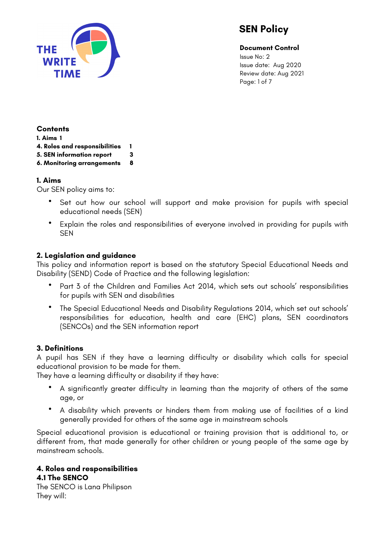

**Document Control**

Issue No: 2 Issue date: Aug 2020 Review date: Aug 2021 Page: 1 of 7

#### **Contents**

**1. Aims 1** 

- **4. Roles and responsibilities 1**
- **5. SEN information report 3**
- **6. Monitoring arrangements 8**

## **1. Aims**

Our SEN policy aims to:

- Set out how our school will support and make provision for pupils with special educational needs (SEN)
- Explain the roles and responsibilities of everyone involved in providing for pupils with **SEN**

# **2. Legislation and guidance**

This policy and information report is based on the statutory Special Educational Needs and Disability (SEND) Code of Practice and the following legislation:

- Part 3 of the Children and Families Act 2014, which sets out schools' responsibilities for pupils with SEN and disabilities
- The Special Educational Needs and Disability Regulations 2014, which set out schools' responsibilities for education, health and care (EHC) plans, SEN coordinators (SENCOs) and the SEN information report

## **3. Definitions**

A pupil has SEN if they have a learning difficulty or disability which calls for special educational provision to be made for them.

They have a learning difficulty or disability if they have:

- A significantly greater difficulty in learning than the majority of others of the same age, or
- A disability which prevents or hinders them from making use of facilities of a kind generally provided for others of the same age in mainstream schools

Special educational provision is educational or training provision that is additional to, or different from, that made generally for other children or young people of the same age by mainstream schools.

#### **4. Roles and responsibilities 4.1 The SENCO**

The SENCO is Lana Philipson They will: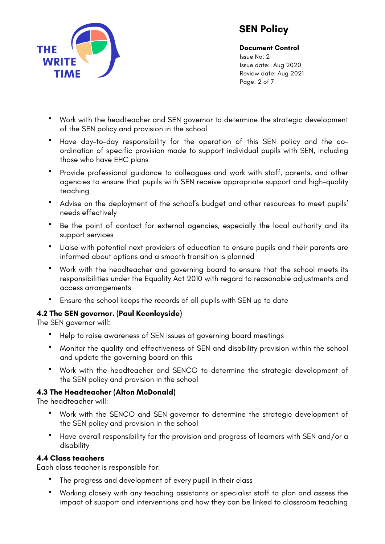

**Document Control** Issue No: 2 Issue date: Aug 2020 Review date: Aug 2021 Page: 2 of 7

- Work with the headteacher and SEN governor to determine the strategic development of the SEN policy and provision in the school
- Have day-to-day responsibility for the operation of this SEN policy and the coordination of specific provision made to support individual pupils with SEN, including those who have EHC plans
- Provide professional guidance to colleagues and work with staff, parents, and other agencies to ensure that pupils with SEN receive appropriate support and high-quality teaching
- Advise on the deployment of the school's budget and other resources to meet pupils' needs effectively
- Be the point of contact for external agencies, especially the local authority and its support services
- Liaise with potential next providers of education to ensure pupils and their parents are informed about options and a smooth transition is planned
- Work with the headteacher and governing board to ensure that the school meets its responsibilities under the Equality Act 2010 with regard to reasonable adjustments and access arrangements
- Ensure the school keeps the records of all pupils with SEN up to date

## **4.2 The SEN governor. (Paul Keenleyside)**

The SEN governor will:

- Help to raise awareness of SEN issues at governing board meetings
- Monitor the quality and effectiveness of SEN and disability provision within the school and update the governing board on this
- Work with the headteacher and SENCO to determine the strategic development of the SEN policy and provision in the school

## **4.3 The Headteacher (Alton McDonald)**

The headteacher will:

- Work with the SENCO and SEN governor to determine the strategic development of the SEN policy and provision in the school
- Have overall responsibility for the provision and progress of learners with SEN and/or a disability

#### **4.4 Class teachers**

Each class teacher is responsible for:

- The progress and development of every pupil in their class
- Working closely with any teaching assistants or specialist staff to plan and assess the impact of support and interventions and how they can be linked to classroom teaching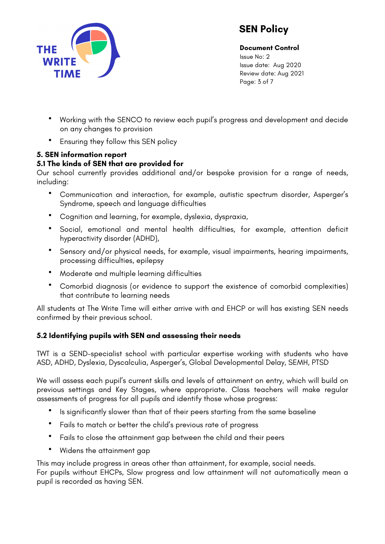

**Document Control** Issue No: 2

Issue date: Aug 2020 Review date: Aug 2021 Page: 3 of 7

- Working with the SENCO to review each pupil's progress and development and decide on any changes to provision
- Ensuring they follow this SEN policy

# **5. SEN information report**

# **5.1 The kinds of SEN that are provided for**

Our school currently provides additional and/or bespoke provision for a range of needs, including:

- Communication and interaction, for example, autistic spectrum disorder, Asperger's Syndrome, speech and language difficulties
- Cognition and learning, for example, dyslexia, dyspraxia,
- Social, emotional and mental health difficulties, for example, attention deficit hyperactivity disorder (ADHD),
- Sensory and/or physical needs, for example, visual impairments, hearing impairments, processing difficulties, epilepsy
- Moderate and multiple learning difficulties
- Comorbid diagnosis (or evidence to support the existence of comorbid complexities) that contribute to learning needs

All students at The Write Time will either arrive with and EHCP or will has existing SEN needs confirmed by their previous school.

## **5.2 Identifying pupils with SEN and assessing their needs**

TWT is a SEND-specialist school with particular expertise working with students who have ASD, ADHD, Dyslexia, Dyscalculia, Asperger's, Global Developmental Delay, SEMH, PTSD

We will assess each pupil's current skills and levels of attainment on entry, which will build on previous settings and Key Stages, where appropriate. Class teachers will make regular assessments of progress for all pupils and identify those whose progress:

- Is significantly slower than that of their peers starting from the same baseline
- Fails to match or better the child's previous rate of progress
- Fails to close the attainment gap between the child and their peers
- Widens the attainment gap

This may include progress in areas other than attainment, for example, social needs. For pupils without EHCPs, Slow progress and low attainment will not automatically mean a pupil is recorded as having SEN.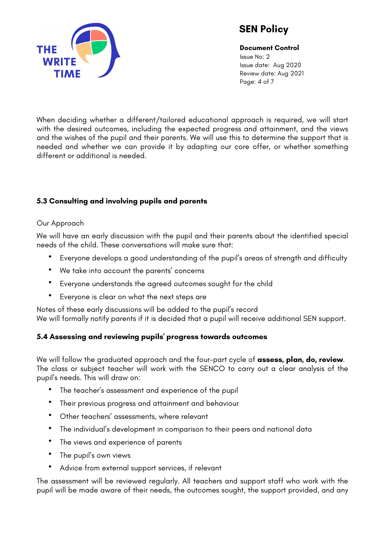

**Document Control** Issue No: 2 Issue date: Aug 2020 Review date: Aug 2021 Page: 4 of 7

When deciding whether a different/tailored educational approach is required, we will start with the desired outcomes, including the expected progress and attainment, and the views and the wishes of the pupil and their parents. We will use this to determine the support that is needed and whether we can provide it by adapting our core offer, or whether something different or additional is needed.

## **5.3 Consulting and involving pupils and parents**

#### Our Approach

We will have an early discussion with the pupil and their parents about the identified special needs of the child. These conversations will make sure that:

- Everyone develops a good understanding of the pupil's areas of strength and difficulty
- We take into account the parents' concerns
- Everyone understands the agreed outcomes sought for the child
- Everyone is clear on what the next steps are

Notes of these early discussions will be added to the pupil's record We will formally notify parents if it is decided that a pupil will receive additional SEN support.

## **5.4 Assessing and reviewing pupils' progress towards outcomes**

We will follow the graduated approach and the four-part cycle of **assess, plan, do, review**. The class or subject teacher will work with the SENCO to carry out a clear analysis of the pupil's needs. This will draw on:

- The teacher's assessment and experience of the pupil
- Their previous progress and attainment and behaviour
- Other teachers' assessments, where relevant
- The individual's development in comparison to their peers and national data
- The views and experience of parents
- The pupil's own views
- Advice from external support services, if relevant

The assessment will be reviewed regularly. All teachers and support staff who work with the pupil will be made aware of their needs, the outcomes sought, the support provided, and any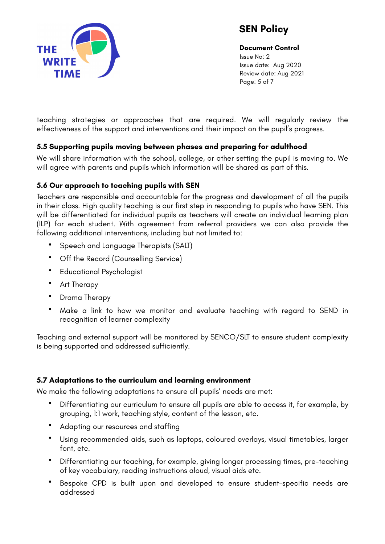

**Document Control** Issue No: 2 Issue date: Aug 2020 Review date: Aug 2021 Page: 5 of 7

teaching strategies or approaches that are required. We will regularly review the effectiveness of the support and interventions and their impact on the pupil's progress.

## **5.5 Supporting pupils moving between phases and preparing for adulthood**

We will share information with the school, college, or other setting the pupil is moving to. We will agree with parents and pupils which information will be shared as part of this.

## **5.6 Our approach to teaching pupils with SEN**

Teachers are responsible and accountable for the progress and development of all the pupils in their class. High quality teaching is our first step in responding to pupils who have SEN. This will be differentiated for individual pupils as teachers will create an individual learning plan (ILP) for each student. With agreement from referral providers we can also provide the following additional interventions, including but not limited to:

- Speech and Language Therapists (SALT)
- Off the Record (Counselling Service)
- Educational Psychologist
- Art Therapy
- Drama Therapy
- Make a link to how we monitor and evaluate teaching with regard to SEND in recognition of learner complexity

Teaching and external support will be monitored by SENCO/SLT to ensure student complexity is being supported and addressed sufficiently.

#### **5.7 Adaptations to the curriculum and learning environment**

We make the following adaptations to ensure all pupils' needs are met:

- Differentiating our curriculum to ensure all pupils are able to access it, for example, by grouping, 1:1 work, teaching style, content of the lesson, etc.
- Adapting our resources and staffing
- Using recommended aids, such as laptops, coloured overlays, visual timetables, larger font, etc.
- Differentiating our teaching, for example, giving longer processing times, pre-teaching of key vocabulary, reading instructions aloud, visual aids etc.
- Bespoke CPD is built upon and developed to ensure student-specific needs are addressed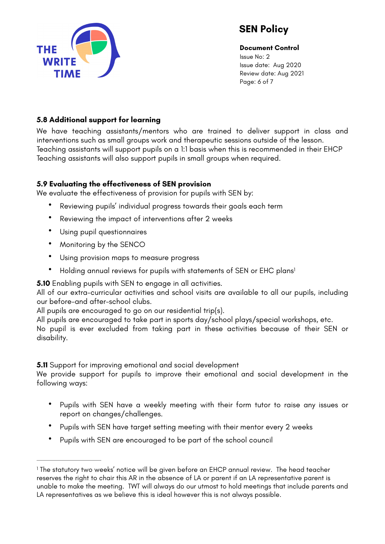

<span id="page-5-1"></span>**Document Control** Issue No: 2 Issue date: Aug 2020 Review date: Aug 2021 Page: 6 of 7

#### **5.8 Additional support for learning**

We have teaching assistants/mentors who are trained to deliver support in class and interventions such as small groups work and therapeutic sessions outside of the lesson. Teaching assistants will support pupils on a 1:1 basis when this is recommended in their EHCP Teaching assistants will also support pupils in small groups when required.

#### **5.9 Evaluating the effectiveness of SEN provision**

We evaluate the effectiveness of provision for pupils with SEN by:

- Reviewing pupils' individual progress towards their goals each term
- Reviewing the impact of interventions after 2 weeks
- Using pupil questionnaires
- Monitoring by the SENCO
- Using provision maps to measure progress
- Holding annual reviews for pupils with statements of SEN or EHC plans<sup>1</sup>

**5.10** Enabling pupils with SEN to engage in all activities.

All of our extra-curricular activities and school visits are available to all our pupils, including our before-and after-school clubs.

All pupils are encouraged to go on our residential trip(s).

All pupils are encouraged to take part in sports day/school plays/special workshops, etc.

No pupil is ever excluded from taking part in these activities because of their SEN or disability.

**5.11** Support for improving emotional and social development

We provide support for pupils to improve their emotional and social development in the following ways:

- Pupils with SEN have a weekly meeting with their form tutor to raise any issues or report on changes/challenges.
- Pupils with SEN have target setting meeting with their mentor every 2 weeks
- Pupils with SEN are encouraged to be part of the school council

<span id="page-5-0"></span><sup>&</sup>lt;sup>1</sup>The statutory two weeks' notice will be given before an EHCP annual review. The head teacher reserves the right to chair this AR in the absence of LA or parent if an LA representative parent is unable to make the meeting. TWT will always do our utmost to hold meetings that include parents and LA representatives as we believe this is ideal however this is not always possible.